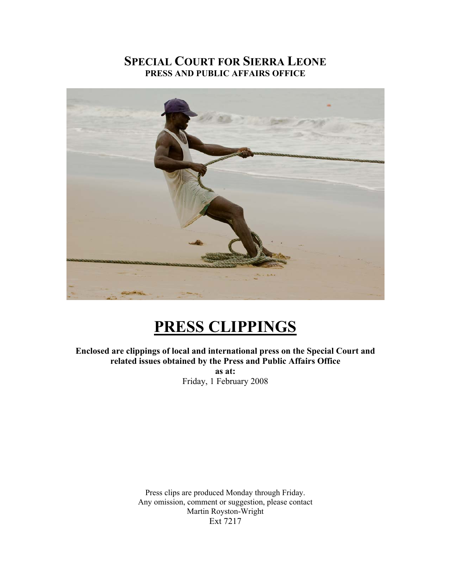## **SPECIAL COURT FOR SIERRA LEONE PRESS AND PUBLIC AFFAIRS OFFICE**



# **PRESS CLIPPINGS**

**Enclosed are clippings of local and international press on the Special Court and related issues obtained by the Press and Public Affairs Office as at:**  Friday, 1 February 2008

> Press clips are produced Monday through Friday. Any omission, comment or suggestion, please contact Martin Royston-Wright Ext 7217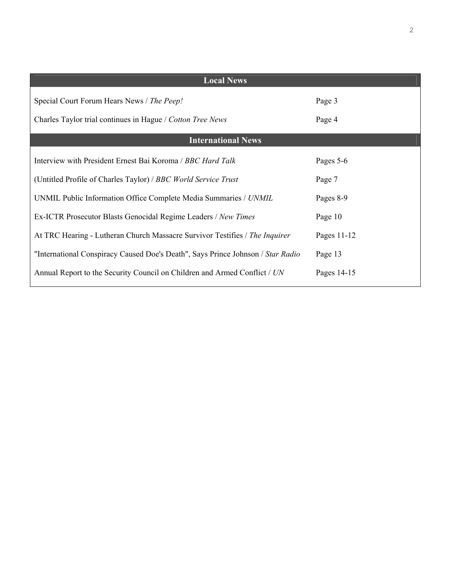| <b>Local News</b>                                                               |             |
|---------------------------------------------------------------------------------|-------------|
| Special Court Forum Hears News / The Peep!                                      | Page 3      |
| Charles Taylor trial continues in Hague / Cotton Tree News                      | Page 4      |
| <b>International News</b>                                                       |             |
| Interview with President Ernest Bai Koroma / BBC Hard Talk                      | Pages 5-6   |
| (Untitled Profile of Charles Taylor) / BBC World Service Trust                  | Page 7      |
| UNMIL Public Information Office Complete Media Summaries / UNMIL                | Pages 8-9   |
| Ex-ICTR Prosecutor Blasts Genocidal Regime Leaders / New Times                  | Page 10     |
| At TRC Hearing - Lutheran Church Massacre Survivor Testifies / The Inquirer     | Pages 11-12 |
| "International Conspiracy Caused Doe's Death", Says Prince Johnson / Star Radio | Page 13     |
| Annual Report to the Security Council on Children and Armed Conflict / UN       | Pages 14-15 |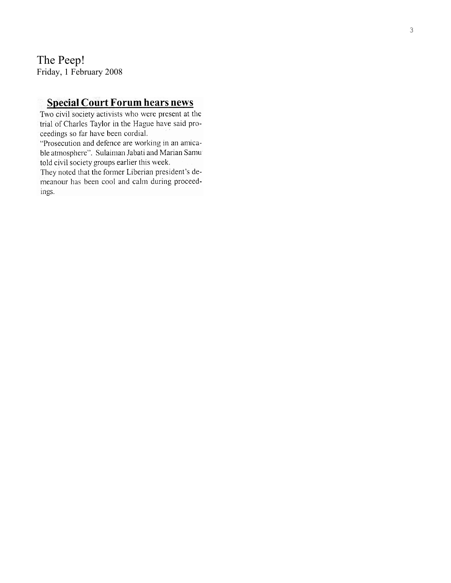The Peep! Friday, 1 February 2008

## **Special Court Forum hears news**

Two civil society activists who were present at the trial of Charles Taylor in the Hague have said proceedings so far have been cordial.

"Prosecution and defence are working in an amicable atmosphere". Sulaiman Jabati and Marian Samu told civil society groups earlier this week.

They noted that the former Liberian president's demeanour has been cool and calm during proceedings.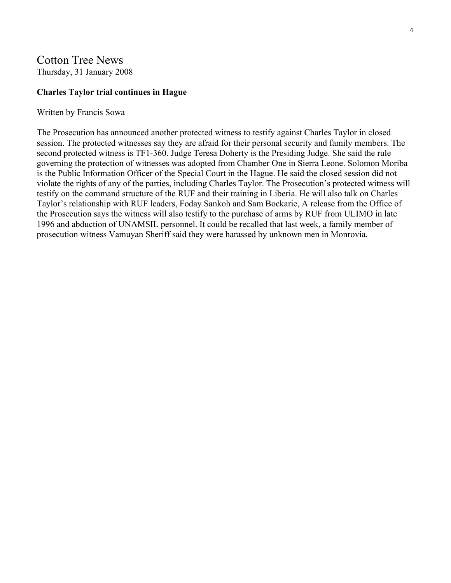## Cotton Tree News

Thursday, 31 January 2008

#### **Charles Taylor trial continues in Hague**

#### Written by Francis Sowa

The Prosecution has announced another protected witness to testify against Charles Taylor in closed session. The protected witnesses say they are afraid for their personal security and family members. The second protected witness is TF1-360. Judge Teresa Doherty is the Presiding Judge. She said the rule governing the protection of witnesses was adopted from Chamber One in Sierra Leone. Solomon Moriba is the Public Information Officer of the Special Court in the Hague. He said the closed session did not violate the rights of any of the parties, including Charles Taylor. The Prosecution's protected witness will testify on the command structure of the RUF and their training in Liberia. He will also talk on Charles Taylor's relationship with RUF leaders, Foday Sankoh and Sam Bockarie, A release from the Office of the Prosecution says the witness will also testify to the purchase of arms by RUF from ULIMO in late 1996 and abduction of UNAMSIL personnel. It could be recalled that last week, a family member of prosecution witness Vamuyan Sheriff said they were harassed by unknown men in Monrovia.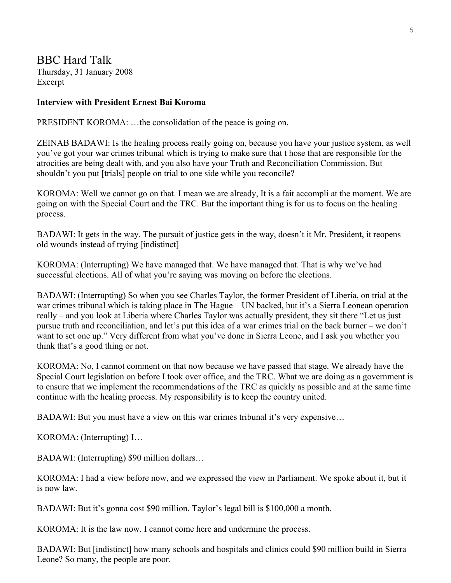BBC Hard Talk Thursday, 31 January 2008 Excerpt

### **Interview with President Ernest Bai Koroma**

PRESIDENT KOROMA: …the consolidation of the peace is going on.

ZEINAB BADAWI: Is the healing process really going on, because you have your justice system, as well you've got your war crimes tribunal which is trying to make sure that t hose that are responsible for the atrocities are being dealt with, and you also have your Truth and Reconciliation Commission. But shouldn't you put [trials] people on trial to one side while you reconcile?

KOROMA: Well we cannot go on that. I mean we are already, It is a fait accompli at the moment. We are going on with the Special Court and the TRC. But the important thing is for us to focus on the healing process.

BADAWI: It gets in the way. The pursuit of justice gets in the way, doesn't it Mr. President, it reopens old wounds instead of trying [indistinct]

KOROMA: (Interrupting) We have managed that. We have managed that. That is why we've had successful elections. All of what you're saying was moving on before the elections.

BADAWI: (Interrupting) So when you see Charles Taylor, the former President of Liberia, on trial at the war crimes tribunal which is taking place in The Hague – UN backed, but it's a Sierra Leonean operation really – and you look at Liberia where Charles Taylor was actually president, they sit there "Let us just pursue truth and reconciliation, and let's put this idea of a war crimes trial on the back burner – we don't want to set one up." Very different from what you've done in Sierra Leone, and I ask you whether you think that's a good thing or not.

KOROMA: No, I cannot comment on that now because we have passed that stage. We already have the Special Court legislation on before I took over office, and the TRC. What we are doing as a government is to ensure that we implement the recommendations of the TRC as quickly as possible and at the same time continue with the healing process. My responsibility is to keep the country united.

BADAWI: But you must have a view on this war crimes tribunal it's very expensive...

KOROMA: (Interrupting) I…

BADAWI: (Interrupting) \$90 million dollars…

KOROMA: I had a view before now, and we expressed the view in Parliament. We spoke about it, but it is now law.

BADAWI: But it's gonna cost \$90 million. Taylor's legal bill is \$100,000 a month.

KOROMA: It is the law now. I cannot come here and undermine the process.

BADAWI: But [indistinct] how many schools and hospitals and clinics could \$90 million build in Sierra Leone? So many, the people are poor.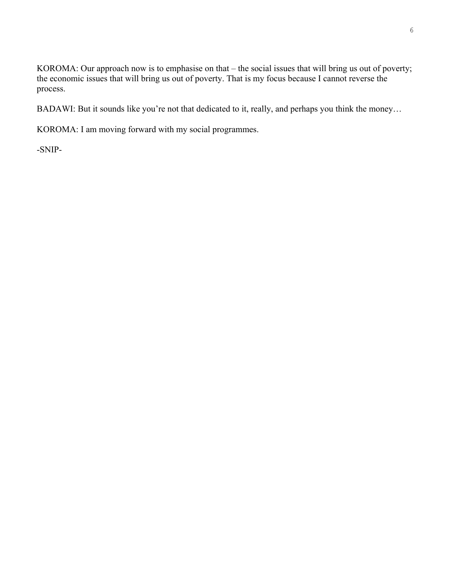KOROMA: Our approach now is to emphasise on that – the social issues that will bring us out of poverty; the economic issues that will bring us out of poverty. That is my focus because I cannot reverse the process.

BADAWI: But it sounds like you're not that dedicated to it, really, and perhaps you think the money…

KOROMA: I am moving forward with my social programmes.

-SNIP-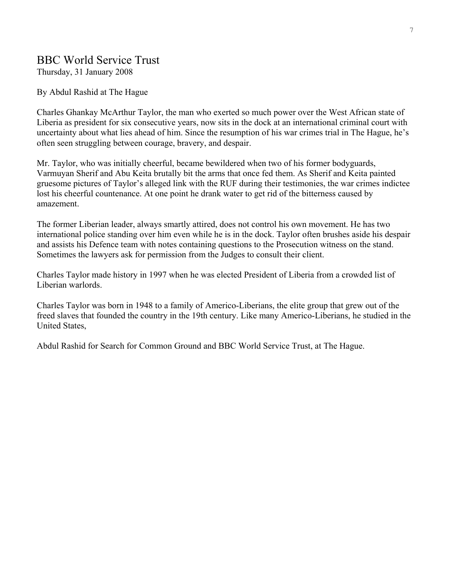## BBC World Service Trust

Thursday, 31 January 2008

By Abdul Rashid at The Hague

Charles Ghankay McArthur Taylor, the man who exerted so much power over the West African state of Liberia as president for six consecutive years, now sits in the dock at an international criminal court with uncertainty about what lies ahead of him. Since the resumption of his war crimes trial in The Hague, he's often seen struggling between courage, bravery, and despair.

Mr. Taylor, who was initially cheerful, became bewildered when two of his former bodyguards, Varmuyan Sherif and Abu Keita brutally bit the arms that once fed them. As Sherif and Keita painted gruesome pictures of Taylor's alleged link with the RUF during their testimonies, the war crimes indictee lost his cheerful countenance. At one point he drank water to get rid of the bitterness caused by amazement.

The former Liberian leader, always smartly attired, does not control his own movement. He has two international police standing over him even while he is in the dock. Taylor often brushes aside his despair and assists his Defence team with notes containing questions to the Prosecution witness on the stand. Sometimes the lawyers ask for permission from the Judges to consult their client.

Charles Taylor made history in 1997 when he was elected President of Liberia from a crowded list of Liberian warlords.

Charles Taylor was born in 1948 to a family of Americo-Liberians, the elite group that grew out of the freed slaves that founded the country in the 19th century. Like many Americo-Liberians, he studied in the United States,

Abdul Rashid for Search for Common Ground and BBC World Service Trust, at The Hague.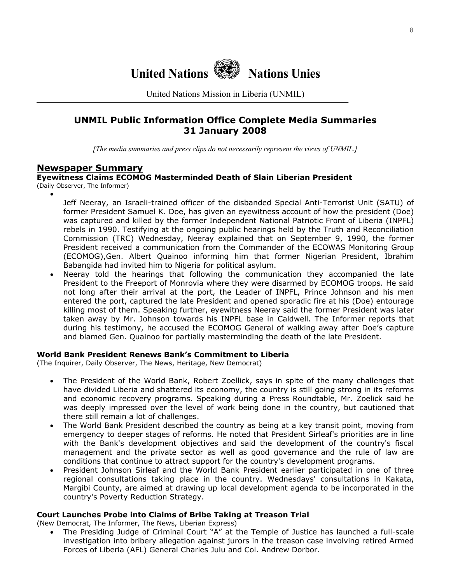

United Nations Mission in Liberia (UNMIL)

## **UNMIL Public Information Office Complete Media Summaries 31 January 2008**

*[The media summaries and press clips do not necessarily represent the views of UNMIL.]*

#### **Newspaper Summary**

#### **Eyewitness Claims ECOMOG Masterminded Death of Slain Liberian President**  (Daily Observer, The Informer)

•

Jeff Neeray, an Israeli-trained officer of the disbanded Special Anti-Terrorist Unit (SATU) of former President Samuel K. Doe, has given an eyewitness account of how the president (Doe) was captured and killed by the former Independent National Patriotic Front of Liberia (INPFL) rebels in 1990. Testifying at the ongoing public hearings held by the Truth and Reconciliation Commission (TRC) Wednesday, Neeray explained that on September 9, 1990, the former President received a communication from the Commander of the ECOWAS Monitoring Group (ECOMOG),Gen. Albert Quainoo informing him that former Nigerian President, Ibrahim Babangida had invited him to Nigeria for political asylum.

• Neeray told the hearings that following the communication they accompanied the late President to the Freeport of Monrovia where they were disarmed by ECOMOG troops. He said not long after their arrival at the port, the Leader of INPFL, Prince Johnson and his men entered the port, captured the late President and opened sporadic fire at his (Doe) entourage killing most of them. Speaking further, eyewitness Neeray said the former President was later taken away by Mr. Johnson towards his INPFL base in Caldwell. The Informer reports that during his testimony, he accused the ECOMOG General of walking away after Doe's capture and blamed Gen. Quainoo for partially masterminding the death of the late President.

#### **World Bank President Renews Bank's Commitment to Liberia**

(The Inquirer, Daily Observer, The News, Heritage, New Democrat)

- The President of the World Bank, Robert Zoellick, says in spite of the many challenges that have divided Liberia and shattered its economy, the country is still going strong in its reforms and economic recovery programs. Speaking during a Press Roundtable, Mr. Zoelick said he was deeply impressed over the level of work being done in the country, but cautioned that there still remain a lot of challenges.
- The World Bank President described the country as being at a key transit point, moving from emergency to deeper stages of reforms. He noted that President Sirleaf's priorities are in line with the Bank's development objectives and said the development of the country's fiscal management and the private sector as well as good governance and the rule of law are conditions that continue to attract support for the country's development programs.
- President Johnson Sirleaf and the World Bank President earlier participated in one of three regional consultations taking place in the country. Wednesdays' consultations in Kakata, Margibi County, are aimed at drawing up local development agenda to be incorporated in the country's Poverty Reduction Strategy.

#### **Court Launches Probe into Claims of Bribe Taking at Treason Trial**

(New Democrat, The Informer, The News, Liberian Express)

• The Presiding Judge of Criminal Court "A" at the Temple of Justice has launched a full-scale investigation into bribery allegation against jurors in the treason case involving retired Armed Forces of Liberia (AFL) General Charles Julu and Col. Andrew Dorbor.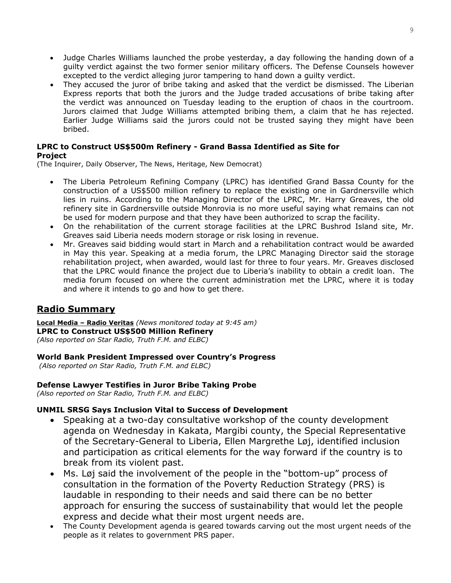- Judge Charles Williams launched the probe yesterday, a day following the handing down of a guilty verdict against the two former senior military officers. The Defense Counsels however excepted to the verdict alleging juror tampering to hand down a guilty verdict.
- They accused the juror of bribe taking and asked that the verdict be dismissed. The Liberian Express reports that both the jurors and the Judge traded accusations of bribe taking after the verdict was announced on Tuesday leading to the eruption of chaos in the courtroom. Jurors claimed that Judge Williams attempted bribing them, a claim that he has rejected. Earlier Judge Williams said the jurors could not be trusted saying they might have been bribed.

## **LPRC to Construct US\$500m Refinery - Grand Bassa Identified as Site for**

#### **Project**

(The Inquirer, Daily Observer, The News, Heritage, New Democrat)

- The Liberia Petroleum Refining Company (LPRC) has identified Grand Bassa County for the construction of a US\$500 million refinery to replace the existing one in Gardnersville which lies in ruins. According to the Managing Director of the LPRC, Mr. Harry Greaves, the old refinery site in Gardnersville outside Monrovia is no more useful saying what remains can not be used for modern purpose and that they have been authorized to scrap the facility.
- On the rehabilitation of the current storage facilities at the LPRC Bushrod Island site, Mr. Greaves said Liberia needs modern storage or risk losing in revenue.
- Mr. Greaves said bidding would start in March and a rehabilitation contract would be awarded in May this year. Speaking at a media forum, the LPRC Managing Director said the storage rehabilitation project, when awarded, would last for three to four years. Mr. Greaves disclosed that the LPRC would finance the project due to Liberia's inability to obtain a credit loan. The media forum focused on where the current administration met the LPRC, where it is today and where it intends to go and how to get there.

## **Radio Summary**

**Local Media – Radio Veritas** *(News monitored today at 9:45 am)* **LPRC to Construct US\$500 Million Refinery**  *(Also reported on Star Radio, Truth F.M. and ELBC)* 

## **World Bank President Impressed over Country's Progress**

 *(Also reported on Star Radio, Truth F.M. and ELBC)*

#### **Defense Lawyer Testifies in Juror Bribe Taking Probe**

*(Also reported on Star Radio, Truth F.M. and ELBC)* 

## **UNMIL SRSG Says Inclusion Vital to Success of Development**

- Speaking at a two-day consultative workshop of the county development agenda on Wednesday in Kakata, Margibi county, the Special Representative of the Secretary-General to Liberia, Ellen Margrethe Løj, identified inclusion and participation as critical elements for the way forward if the country is to break from its violent past.
- Ms. Løj said the involvement of the people in the "bottom-up" process of consultation in the formation of the Poverty Reduction Strategy (PRS) is laudable in responding to their needs and said there can be no better approach for ensuring the success of sustainability that would let the people express and decide what their most urgent needs are.
- The County Development agenda is geared towards carving out the most urgent needs of the people as it relates to government PRS paper.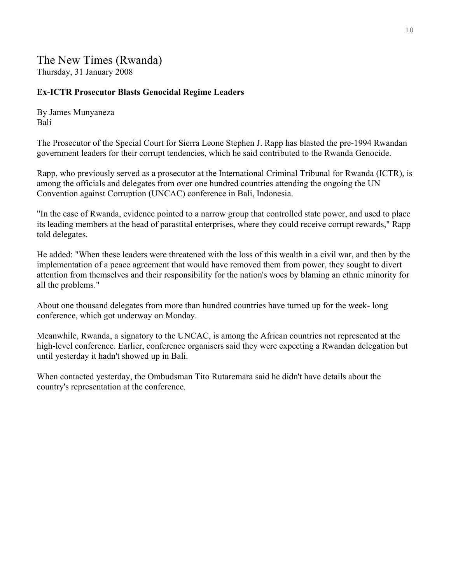## The New Times (Rwanda) Thursday, 31 January 2008

## **Ex-ICTR Prosecutor Blasts Genocidal Regime Leaders**

By James Munyaneza Bali

The Prosecutor of the Special Court for Sierra Leone Stephen J. Rapp has blasted the pre-1994 Rwandan government leaders for their corrupt tendencies, which he said contributed to the Rwanda Genocide.

Rapp, who previously served as a prosecutor at the International Criminal Tribunal for Rwanda (ICTR), is among the officials and delegates from over one hundred countries attending the ongoing the UN Convention against Corruption (UNCAC) conference in Bali, Indonesia.

"In the case of Rwanda, evidence pointed to a narrow group that controlled state power, and used to place its leading members at the head of parastital enterprises, where they could receive corrupt rewards," Rapp told delegates.

He added: "When these leaders were threatened with the loss of this wealth in a civil war, and then by the implementation of a peace agreement that would have removed them from power, they sought to divert attention from themselves and their responsibility for the nation's woes by blaming an ethnic minority for all the problems."

About one thousand delegates from more than hundred countries have turned up for the week- long conference, which got underway on Monday.

Meanwhile, Rwanda, a signatory to the UNCAC, is among the African countries not represented at the high-level conference. Earlier, conference organisers said they were expecting a Rwandan delegation but until yesterday it hadn't showed up in Bali.

When contacted yesterday, the Ombudsman Tito Rutaremara said he didn't have details about the country's representation at the conference.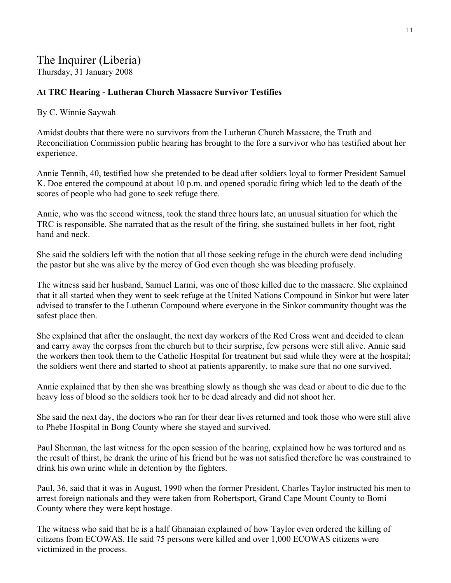## The Inquirer (Liberia)

Thursday, 31 January 2008

## **At TRC Hearing - Lutheran Church Massacre Survivor Testifies**

### By C. Winnie Saywah

Amidst doubts that there were no survivors from the Lutheran Church Massacre, the Truth and Reconciliation Commission public hearing has brought to the fore a survivor who has testified about her experience.

Annie Tennih, 40, testified how she pretended to be dead after soldiers loyal to former President Samuel K. Doe entered the compound at about 10 p.m. and opened sporadic firing which led to the death of the scores of people who had gone to seek refuge there.

Annie, who was the second witness, took the stand three hours late, an unusual situation for which the TRC is responsible. She narrated that as the result of the firing, she sustained bullets in her foot, right hand and neck.

She said the soldiers left with the notion that all those seeking refuge in the church were dead including the pastor but she was alive by the mercy of God even though she was bleeding profusely.

The witness said her husband, Samuel Larmi, was one of those killed due to the massacre. She explained that it all started when they went to seek refuge at the United Nations Compound in Sinkor but were later advised to transfer to the Lutheran Compound where everyone in the Sinkor community thought was the safest place then.

She explained that after the onslaught, the next day workers of the Red Cross went and decided to clean and carry away the corpses from the church but to their surprise, few persons were still alive. Annie said the workers then took them to the Catholic Hospital for treatment but said while they were at the hospital; the soldiers went there and started to shoot at patients apparently, to make sure that no one survived.

Annie explained that by then she was breathing slowly as though she was dead or about to die due to the heavy loss of blood so the soldiers took her to be dead already and did not shoot her.

She said the next day, the doctors who ran for their dear lives returned and took those who were still alive to Phebe Hospital in Bong County where she stayed and survived.

Paul Sherman, the last witness for the open session of the hearing, explained how he was tortured and as the result of thirst, he drank the urine of his friend but he was not satisfied therefore he was constrained to drink his own urine while in detention by the fighters.

Paul, 36, said that it was in August, 1990 when the former President, Charles Taylor instructed his men to arrest foreign nationals and they were taken from Robertsport, Grand Cape Mount County to Bomi County where they were kept hostage.

The witness who said that he is a half Ghanaian explained of how Taylor even ordered the killing of citizens from ECOWAS. He said 75 persons were killed and over 1,000 ECOWAS citizens were victimized in the process.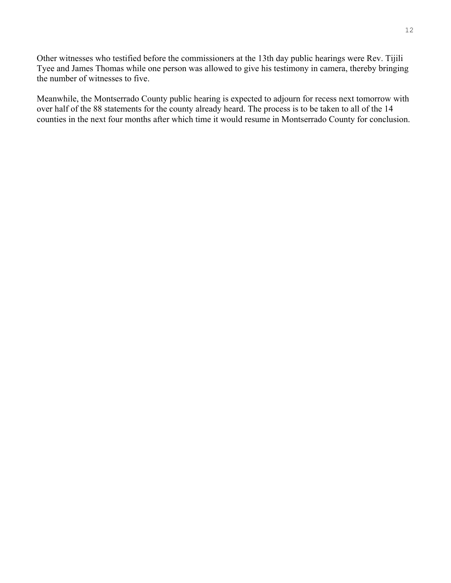Other witnesses who testified before the commissioners at the 13th day public hearings were Rev. Tijili Tyee and James Thomas while one person was allowed to give his testimony in camera, thereby bringing the number of witnesses to five.

Meanwhile, the Montserrado County public hearing is expected to adjourn for recess next tomorrow with over half of the 88 statements for the county already heard. The process is to be taken to all of the 14 counties in the next four months after which time it would resume in Montserrado County for conclusion.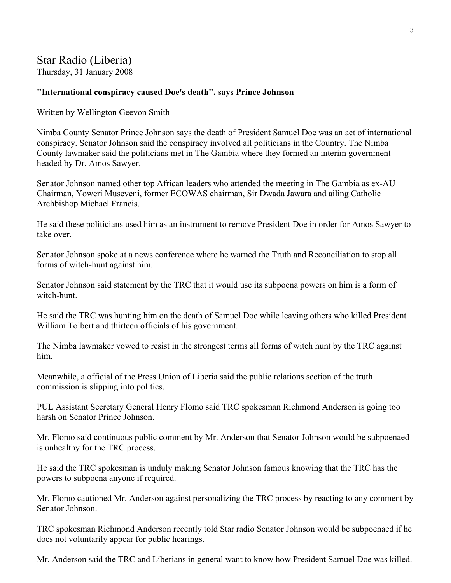## Star Radio (Liberia)

Thursday, 31 January 2008

## **"International conspiracy caused Doe's death", says Prince Johnson**

Written by Wellington Geevon Smith

Nimba County Senator Prince Johnson says the death of President Samuel Doe was an act of international conspiracy. Senator Johnson said the conspiracy involved all politicians in the Country. The Nimba County lawmaker said the politicians met in The Gambia where they formed an interim government headed by Dr. Amos Sawyer.

Senator Johnson named other top African leaders who attended the meeting in The Gambia as ex-AU Chairman, Yoweri Museveni, former ECOWAS chairman, Sir Dwada Jawara and ailing Catholic Archbishop Michael Francis.

He said these politicians used him as an instrument to remove President Doe in order for Amos Sawyer to take over.

Senator Johnson spoke at a news conference where he warned the Truth and Reconciliation to stop all forms of witch-hunt against him.

Senator Johnson said statement by the TRC that it would use its subpoena powers on him is a form of witch-hunt.

He said the TRC was hunting him on the death of Samuel Doe while leaving others who killed President William Tolbert and thirteen officials of his government.

The Nimba lawmaker vowed to resist in the strongest terms all forms of witch hunt by the TRC against him.

Meanwhile, a official of the Press Union of Liberia said the public relations section of the truth commission is slipping into politics.

PUL Assistant Secretary General Henry Flomo said TRC spokesman Richmond Anderson is going too harsh on Senator Prince Johnson.

Mr. Flomo said continuous public comment by Mr. Anderson that Senator Johnson would be subpoenaed is unhealthy for the TRC process.

He said the TRC spokesman is unduly making Senator Johnson famous knowing that the TRC has the powers to subpoena anyone if required.

Mr. Flomo cautioned Mr. Anderson against personalizing the TRC process by reacting to any comment by Senator Johnson.

TRC spokesman Richmond Anderson recently told Star radio Senator Johnson would be subpoenaed if he does not voluntarily appear for public hearings.

Mr. Anderson said the TRC and Liberians in general want to know how President Samuel Doe was killed.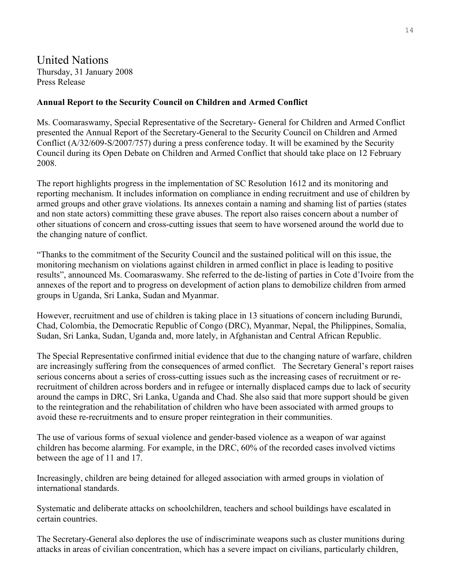## United Nations Thursday, 31 January 2008 Press Release

## **Annual Report to the Security Council on Children and Armed Conflict**

Ms. Coomaraswamy, Special Representative of the Secretary- General for Children and Armed Conflict presented the Annual Report of the Secretary-General to the Security Council on Children and Armed Conflict (A/32/609-S/2007/757) during a press conference today. It will be examined by the Security Council during its Open Debate on Children and Armed Conflict that should take place on 12 February 2008.

The report highlights progress in the implementation of SC Resolution 1612 and its monitoring and reporting mechanism. It includes information on compliance in ending recruitment and use of children by armed groups and other grave violations. Its annexes contain a naming and shaming list of parties (states and non state actors) committing these grave abuses. The report also raises concern about a number of other situations of concern and cross-cutting issues that seem to have worsened around the world due to the changing nature of conflict.

"Thanks to the commitment of the Security Council and the sustained political will on this issue, the monitoring mechanism on violations against children in armed conflict in place is leading to positive results", announced Ms. Coomaraswamy. She referred to the de-listing of parties in Cote d'Ivoire from the annexes of the report and to progress on development of action plans to demobilize children from armed groups in Uganda, Sri Lanka, Sudan and Myanmar.

However, recruitment and use of children is taking place in 13 situations of concern including Burundi, Chad, Colombia, the Democratic Republic of Congo (DRC), Myanmar, Nepal, the Philippines, Somalia, Sudan, Sri Lanka, Sudan, Uganda and, more lately, in Afghanistan and Central African Republic.

The Special Representative confirmed initial evidence that due to the changing nature of warfare, children are increasingly suffering from the consequences of armed conflict. The Secretary General's report raises serious concerns about a series of cross-cutting issues such as the increasing cases of recruitment or rerecruitment of children across borders and in refugee or internally displaced camps due to lack of security around the camps in DRC, Sri Lanka, Uganda and Chad. She also said that more support should be given to the reintegration and the rehabilitation of children who have been associated with armed groups to avoid these re-recruitments and to ensure proper reintegration in their communities.

The use of various forms of sexual violence and gender-based violence as a weapon of war against children has become alarming. For example, in the DRC, 60% of the recorded cases involved victims between the age of 11 and 17.

Increasingly, children are being detained for alleged association with armed groups in violation of international standards.

Systematic and deliberate attacks on schoolchildren, teachers and school buildings have escalated in certain countries.

The Secretary-General also deplores the use of indiscriminate weapons such as cluster munitions during attacks in areas of civilian concentration, which has a severe impact on civilians, particularly children,